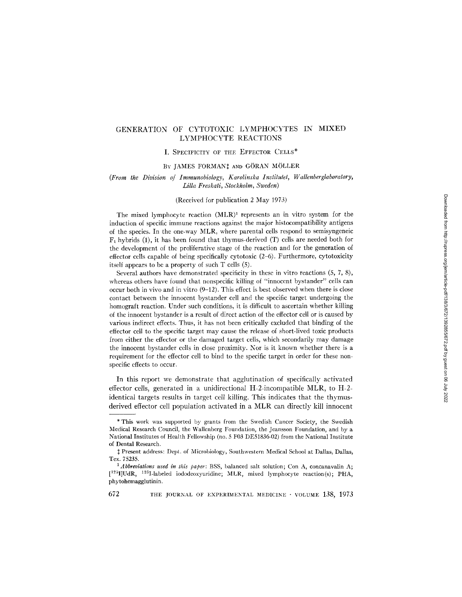# GENERATION OF CYTOTOXIC LYMPHOCYTES IN MIXED LYMPHOCYTE REACTIONS

# I. SPECIFICITY OF THE EFFECTOR CELLS\*

# BY JAMES FORMAN! AND GÖRAN MÖLLER

# *(From the Division of Immunobiology, Karolinska Institulet, Wallenberglaboratory, Lilla Freskati, Stockholm, Sweden)*

# (Received for publication 2 May 1973)

The mixed lymphocyte reaction  $(MLR)^1$  represents an in vitro system for the induction of specific immune reactions against the major histocompatibility antigens of the species. In the one-way MLR, where parental cells respond to semisyngeneic  $F_1$  hybrids (1), it has been found that thymus-derived (T) cells are needed both for the development of the proliferative stage of the reaction and for the generation of effector cells capable of being specifically cytotoxic (2-6). Furthermore, cytotoxicity itself appears to be a property of such T cells (5).

Several authors have demonstrated specificity in these in vitro reactions (5, 7, 8), whereas others have found that nonspecific killing of "innocent bystander" cells can occur both in vivo and in vitro (9-12). This effect is best observed when there is close contact between the innocent bystander cell and the specific target undergoing the homograft reaction. Under such conditions, it is difficult to ascertain whether killing of the innocent bystander is a result of direct action of the effector cell or is caused by various indirect effects. Thus, it has not been critically excluded that binding of the effector cell to the specific target may cause the release of short-lived toxic products from either the effector or the damaged target cells, which secondarily may damage the innocent bystander cells in close proximity. Nor is it known whether there is a requirement for the effector cell to bind to the specific target in order for these nonspecific effects to occur.

In this report we demonstrate that agglutination of specifically activated effector cells, generated in a unidirectional H-2-incompatible MLR, to H-2 identical targets results in target cell killing. This indicates that the thymusderived effector cell population activated in a MLR can directly kill innocent

<sup>\*</sup> This work was supported by grants from the Swedish Cancer Society, the Swedish Medical Research Council, the Wallenberg Foundation, the Jeansson Foundation, and by a National Institutes of Health Fellowship (no. 5 F03 DE51836-02) from the National Institute of Dental Research.

<sup>~</sup>t Present address: Dept. of Microbiology, Southwestern Medical School at Dallas, Dallas, Tex. 75235.

*<sup>1</sup>Abbreviations used in this paper:* BSS, balanced salt solution; Con A, eoncanavalin A; [<sup>125</sup>I]UdR, <sup>125</sup>I-labeled iododeoxyuridine; MLR, mixed lymphocyte reaction(s); PHA, phytohemagglutinin.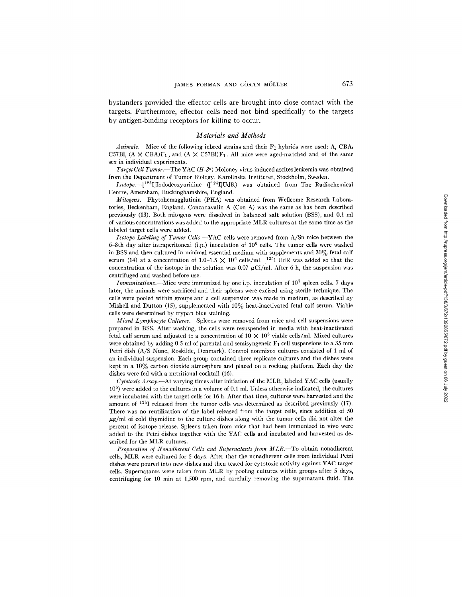bystanders provided the effector cells are brought into close contact with the targets. Furthermore, effector cells need not bind specifically to the targets by antigen-binding receptors for killing to occur.

#### *Materials and Methods*

 $A \textit{nimals}$ —Mice of the following inbred strains and their  $F_1$  hybrids were used: A, CBA, C57Bl,  $(A \times CBA)F_1$ , and  $(A \times C57B)F_1$ . All mice were aged-matched and of the same sex in individual experiments.

*Target Cell Tumor.*-The YAC (H-2<sup>a</sup>) Moloney virus-induced ascites leukemia was obtained from the Department of Tumor Biology, Karolinska Institutet, Stockholm, Sweden.

*Isotope.--[125I]Iododeoxyuridine* ([125I]UdR) was obtained from The Radiochemical Centre, Amersham, Buckinghamshire, England.

*Mitogens.--Phytohemagglutinin* (PHA) was obtained from Wellcome Research Laboratories, Beckenham, England. Concanavalin A (Con A) was the same as has been described previously (13). Both mitogens were dissolved in balanced salt solution (BSS), and 0.1 ml of various concentrations was added to the appropriate MLR cultures at the same time as the labeled target cells were added.

*Isotope Labeling of Tumor Cells.--YAC* cells were removed from A/Sn mice between the 6-8th day after intraperitoneal (i.p.) inoculation of  $10^6$  cells. The tumor cells were washed in BSS and then cultured in minimal essential medium with supplements and 20% fetal calf serum (14) at a concentration of 1.0-1.5  $\times$  10<sup>6</sup> cells/ml. [<sup>125</sup>I]UdR was added so that the concentration of the isotope in the solution was 0.07  $\mu$ Ci/ml. After 6 h, the suspension was centrifuged and washed before use.

*Immunizations.*—Mice were immunized by one i.p. inoculation of  $10^7$  spleen cells. 7 days later, the animals were sacrificed and their spleens were excised using sterile technique. The cells were pooled within groups and a cell suspension was made in medium, as described by Mishell and Dutton (15), supplemented with  $10\%$  heat-inactivated fetal calf serum. Viable cells were determined by trypan blue staining.

*Mixed Lymphocyte Cultures.--Spleens* were removed from mice and cell suspensions were prepared in BSS. After washing, the cells were resuspended in media with heat-inactivated fetal calf serum and adjusted to a concentration of  $10 \times 10^6$  viable cells/ml. Mixed cultures were obtained by adding 0.5 ml of parental and semisyngeneic  $F_1$  cell suspensions to a 35 mm Petri dish (A/S Nunc, Roskilde, Denmark). Control nonmixed cultures consisted of 1 ml of an individual suspension. Each group contained three replicate cultures and the dishes were kept in a  $10\%$  carbon dioxide atmosphere and placed on a rocking platform. Each day the dishes were fed with a nutritional cocktail (16).

*Cytotoxic Assay.--At* varying times after initiation of the MLR, labeled YAC cells (usually  $10<sup>5</sup>$ ) were added to the cultures in a volume of 0.1 ml. Unless otherwise indicated, the cultures were incubated with the target cells for 16 h. After that time, cultures were harvested and the amount of  $^{125}I$  released from the tumor cells was determined as described previously (17). There was no reutilization of the label released from the target cells, since addition of 50  $\mu$ g/ml of cold thymidine to the culture dishes along with the tumor cells did not alter the percent of isotope release. Spleens taken from mice that had been immunized in vivo were added to the Petri dishes together with the YAC cells and incubated and harvested as described for the MLR cultures.

*Preparation of Nonadherent Cells and Supernatants from MLR.--To* obtain nonadherent cells, MLR were cultured for 5 days. After that the nonadherent cells from individual Petri dishes were poured into new dishes and then tested for cytotoxic activity against YAC target cells. Supernatants were taken from MLR by pooling cultures within groups after 5 days, centrifuging for 10 min at 1,500 rpm, and carefully removing the supernatant fluid. The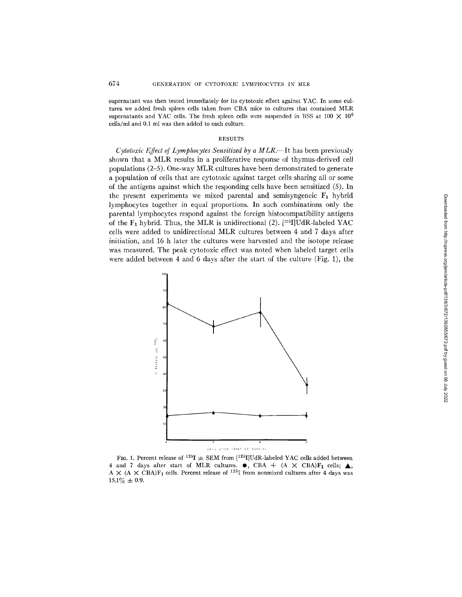supernatant was then tested immediately for its cytotoxic effect against YAC. In some cultures we added fresh spleen cells taken from CBA mice to cultures that contained MLR supernatants and YAC cells. The fresh spleen cells were suspended in BSS at  $100 \times 10^6$ cells/ml and 0.1 ml was then added to each culture.

#### RESULTS

*Cytotoxic Effect of Lymphocytes Sensitized by a MLR.*--It has been previously shown that a MLR results in a proliferative response of thymus-derived cell populations (2-5). One-way MLR cultures have been demonstrated to generate a population of cells that are cytotoxic against target ceils sharing all or some of the antigens against which the responding cells have been sensitized (5). In the present experiments we mixed parental and semisyngeneic  $F_1$  hybrid lymphocytes together in equal proportions. ]n such combinations only the parental lymphocytes respond against the foreign histocompatibility antigens of the  $F_1$  hybrid. Thus, the MLR is unidirectional (2).  $[^{125}I]UdR$ -labeled YAC ceils were added to unidirectional MLR cultures between 4 and 7 days after initiation, and 16 h later the cultures were harvested and the isotope release was measured. The peak cytotoxic effect was noted when labeled target cells were added between 4 and 6 days after the start of the culture (Fig. 1), the



FIG. 1. Percent release of <sup>125</sup>I  $\pm$  SEM from [<sup>125</sup>I]UdR-labeled YAC cells added between 4 and 7 days after start of MLR cultures.  $\bullet$ , CBA + (A  $\times$  CBA)F<sub>1</sub> cells;  $\blacktriangle$ , A  $\times$  (A  $\times$  CBA)F<sub>1</sub> cells. Percent release of <sup>125</sup>I from nonmixed cultures after 4 days was  $15.1\% \pm 0.9.$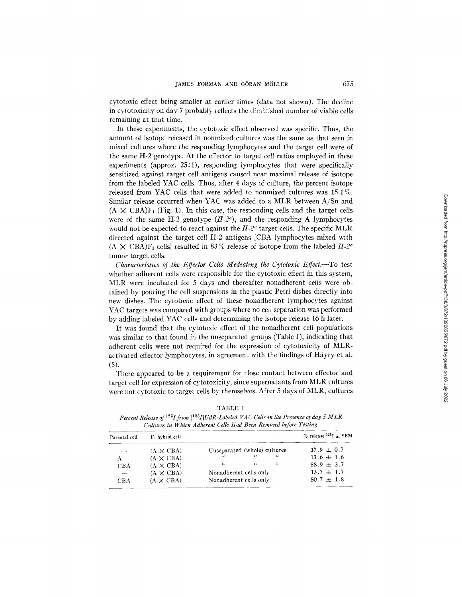cytotoxic effect being smaller at earlier times (data not shown). The decline in cytotoxicity on day 7 probably reflects the diminished number of viable cells remaining at that time.

In these experiments, the cytotoxic effect observed was specific. Thus, the amount of isotope released in nonmixed cultures was the same as that seen in mixed cultures where the responding lymphocytes and the target cell were of the same H-2 genotype. At the effector to target cell ratios employed in these experiments (approx. 25:1), responding lymphocytes that were specifically sensitized against target cell antigens caused near maximal release of isotope from the labeled YAC cells. Thus, after 4 days of culture, the percent isotope released from YAC cells that were added to nonmixed cultures was 15.1%. Similar release occurred when YAC was added to a MLR between A/Sn and  $(A \times \text{CBA})F_1$  (Fig. 1). In this case, the responding cells and the target cells were of the same H-2 genotype  $(H-2^a)$ , and the responding A lymphocytes would not be expected to react against the  $H$ -2<sup> $a$ </sup> target cells. The specific MLR directed against the target cell H-2 antigens [CBA lymphocytes mixed with  $(A \times \text{CBA})\text{F}_1$  cells) resulted in 83% release of isotope from the labeled  $H_2$ <sup>a</sup> tumor target cells.

*Characteristics of the Effector Cells Mediating the Cytotoxic Effect.*--To test whether adherent cells were responsible for the cytotoxic effect in this system, MLR were incubated for 5 days and thereafter nonadherent ceils were obtained by pouring the cell suspensions in the plastic Petri dishes directly into new dishes. The cytotoxic effect of these nonadherent lymphocytes against YAC targets was compared with groups where no cell separation was performed by adding labeled YAC cells and determining the isotope release 16 h later.

It was found that the cytotoxic effect of the nonadherent cell populations was similar to that found in the unseparated groups (Table I), indicating that adherent cells were not required for the expression of cytotoxicity of MLRactivated effector lymphocytes, in agreement with the findings of Häyry et al. (5).

There appeared to be a requirement for close contact between effector and target cell for expression of cytotoxicity, since supernatants from MLR cultures were not cytotoxic to target ceils by themselves. After 5 days of MLR, cultures

| Parental cell | $F_1$ hybrid cell |                              |            |     | $\%$ release $^{125}I \pm SEM$ |
|---------------|-------------------|------------------------------|------------|-----|--------------------------------|
|               | $(A \times CBA)$  | Unseparated (whole) cultures |            |     | $17.9 \pm 0.7$                 |
| А             | $(A \times CBA)$  | $\epsilon$                   | $\epsilon$ | "   | $13.6 \pm 1.6$                 |
| CBA           | $(A \times CBA)$  | $\epsilon$                   | $\epsilon$ | -64 | $88.9 + 3.7$                   |
| $-$           | $(A \times CBA)$  | Nonadherent cells only       |            |     | $13.7 \pm 1.7$                 |
| CBA           | $(A \times CBA)$  | Nonadherent cells only       |            |     | $80.7 \pm 1.8$                 |

TABLE I

Percent Release of <sup>125</sup>I from [<sup>125</sup>I]UdR-Labeled YAC Cells in the Presence of day 5 MLR *Cullures in Which Adherent Cells Had Been Removed before Testing*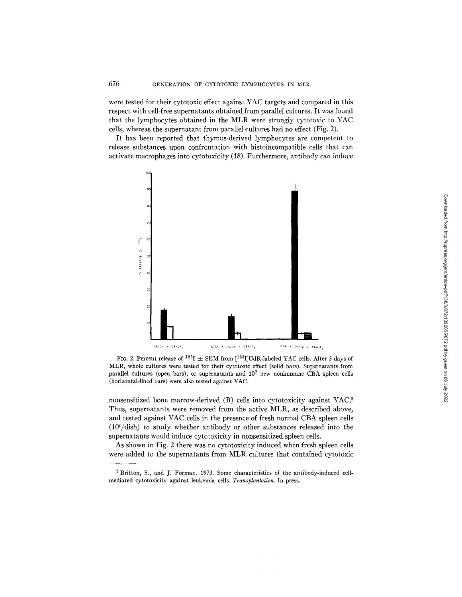were tested for their cytotoxic effect against YAC targets and compared in this respect with cell-free supernatants obtained from parallel cultures. It was found that the lymphocytes obtained in the MLR were strongly cytotoxic to YAC cells, whereas the supernatant from parallel cultures had no effect (Fig. 2).

It has been reported that thymus-derived lymphocytes are competent to release substances upon confrontation with histoincompatible cells that can activate macrophages into cytotoxicity (18). Furthermore, antibody can induce



FIG. 2. Percent release of <sup>125</sup>I  $\pm$  SEM from [<sup>125</sup>I]UdR-labeled YAC cells. After 5 days of MLR, whole cultures were tested for their cytotoxic effect (solid bars). Supernatants from parallel cultures (open bars), or supernatants and  $10<sup>7</sup>$  new nonimmune CBA spleen cells (horizontal-lined bars) were also tested against YAC.

nonsensitized bone marrow-derived (B) cells into cytotoxicity against YAC3 Thus, supernatants were removed from the active MLR, as described above, and tested against YAC cells in the presence of fresh normal CBA spleen cells  $(10^7/\text{dish})$  to study whether antibody or other substances released into the supernatants would induce cytotoxicity in nonsensitized spleen cells.

As shown in Fig. 2 there was no cytotoxicity induced when fresh spleen cells were added to the supernatants from MLR cultures that contained cytotoxic

<sup>2</sup> Britton, S., and J. Forman. 1973. Some characteristics of the antibody-induced cellmediated cytotoxicity against leukemia cells. *Transplantation.* In press.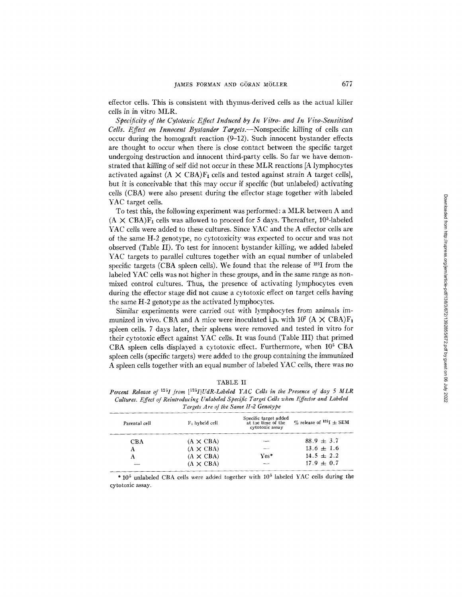effector cells. This is consistent with thymus-derived cells as the actual killer cells in in vitro MLR.

*Specificity of the Cylo/oxic Effect Induced by In Vitro- and In Vivo-Sensitized Cells. Effect on Innocent Bystander Targels.--Nonspecific* killing of ceils can occur during the homograft reaction (9-12). Such innocent bystander effects are thought to occur when there is close contact between the specific target undergoing destruction and innocent third-party cells. So far we have demonstrated that killing of self did not occur in these MLR reactions [A lymphocytes activated against  $(A \times CBA)F_1$  cells and tested against strain A target cells], but it is conceivable that this may occur if specific (but unlabeled) activating cells (CBA) were also present during the effector stage together with labeled YAC target cells.

To test this, the following experiment was performed: a MLR between A and  $(A \times CBA)F_1$  cells was allowed to proceed for 5 days. Thereafter, 10<sup>5</sup>-labeled YAC cells were added to these cultures. Since YAC and the A effector cells are of the same H-2 genotype, no cytotoxicity was expected to occur and was not observed (Table II). To test for innocent bystander killing, we added labeled YAC targets to parallel cultures together with an equal number of unlabeled specific targets (CBA spleen cells). We found that the release of <sup>125</sup>I from the labeled YAC cells was not higher in these groups, and in the same range as nonmixed control cultures. Thus, the presence of activating lymphocytes even during the effector stage did not cause a cytotoxic effect on target cells having the same H-2 genotype as the activated lymphocytes.

Similar experiments were carried out with lymphocytes from animals immunized in vivo. CBA and A mice were inoculated i.p. with  $10^7$  (A  $\times$  CBA)F<sub>1</sub> spleen cells. 7 days later, their spleens were removed and tested in vitro for their cytotoxic effect against YAC cells. It was found (Table III) that primed CBA spleen cells displayed a cytotoxic effect. Furthermore, when  $10<sup>5</sup>$  CBA spleen cells (specific targets) were added to the group containing the immunized A spleen cells together with an equal number of labeled YAC cells, there was no

| D.<br>ı.<br>в. |  |
|----------------|--|
|----------------|--|

*Percent Release of 12~I from [12~I}UdR-Labded YAC Cells in the Presence of day 5 MLR Cultures. Effect of Reintroducing Unlabded Specific Target Cells when Effector and Labded Targets Are of the Same H-2 Genotype* 

| Parental cell | F <sub>i</sub> hybrid cell | Specific target added<br>at the time of the<br>cytotoxic assay | $\%$ release of $125I \pm SEM$ |
|---------------|----------------------------|----------------------------------------------------------------|--------------------------------|
| CBA           | $(A \times CBA)$           |                                                                | $88.9 + 3.7$                   |
| А             | $(A \times CBA)$           |                                                                | $13.6 \pm 1.6$                 |
| А             | $(A \times CBA)$           | $\mathrm{Ves}^*$                                               | $14.5 \pm 2.2$                 |
|               | $(A \times CBA)$           |                                                                | $17.9 \pm 0.7$                 |
|               |                            |                                                                |                                |

\*  $10^5$  unlabeled CBA cells were added together with  $10^5$  labeled YAC cells during the cytotoxic assay.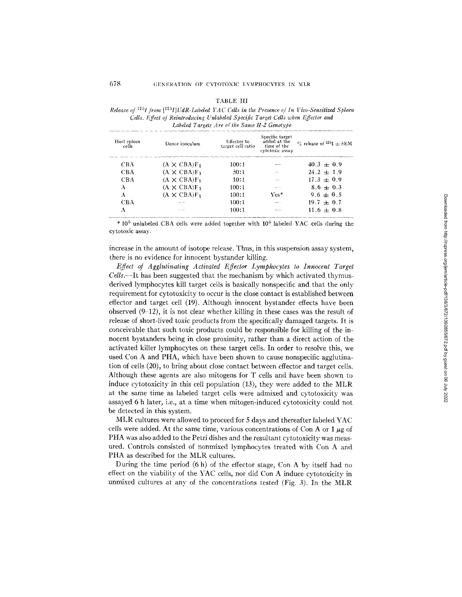| `ABLE |
|-------|
|-------|

*Release of*  $^{125}I$  from  $[125I] UdR-Labeled YAC Cells$  in the Presence of In Vivo-Sensitized Spleen *Cells. Effect of Reintroducing Unlabeled Specific Target Cells when Effector and Labded Targets Are of the Same H-2 Genotype* 

| Host spleen<br>cells | Donor inoculum      | Effector to<br>target cell ratio | Specific target<br>added at the<br>time of the<br>cytotoxic assay | $\%$ release of $^{125}I + SEM$ |
|----------------------|---------------------|----------------------------------|-------------------------------------------------------------------|---------------------------------|
| CBA                  | $(A \times CBA)F_1$ | 100:1                            |                                                                   | $40.3 + 0.9$                    |
| CBA                  | $(A \times CBA)F_1$ | 50:1                             |                                                                   | $24.2 + 1.9$                    |
| <b>CBA</b>           | $(A \times CBA)F_1$ | 10:1                             |                                                                   | $17.3 + 0.9$                    |
| A                    | $(A \times CBA)F_1$ | 100:1                            |                                                                   | $8.6 + 0.3$                     |
| А                    | $(A \times CBA)F_1$ | 100:1                            | $\mathrm{Ves}^*$                                                  | $9.6 + 0.5$                     |
| CBA                  |                     | 100:1                            |                                                                   | $19.7 \pm 0.7$                  |
| А                    | ---                 | 100:1                            |                                                                   | $11.6 \pm 0.8$                  |

\*  $10^5$  unlabeled CBA cells were added together with  $10^5$  labeled YAC cells during the cytotoxic assay.

increase in the amount of isotope release, Thus, in this suspension assay system, there is no evidence for innocent bystander killing.

*Effect of Agglutinating Activated Effector Lymphocytes to Innocent Target Cells.--It* has been suggested that the mechanism by which activated thymusderived lymphocytes kill target cells is basically nonspecific and that the only requirement for cytotoxicity to occur is the close contact is established between effector and target cell (19). Although innocent bystander effects have been observed  $(9-12)$ , it is not clear whether killing in these cases was the result of release of short-lived toxic products from the specifically damaged targets. It is conceivable that such toxic products could be responsible for killing of the innocent bystanders being in close proximity, rather than a direct action of the activated killer lymphocytes on these target cells. In order to resolve this, we used Con A and PHA, which have been shown to cause nonspecific agglutination of cells (20), to bring about close contact between effector and target celts. Although these agents are also mitogens for T cells and have been shown to induce cytotoxicity in this cell population  $(13)$ , they were added to the MLR at the same time as labeled target cells were admixed and cytotoxicity was assayed 6 h later, i.e., at a time when mitogen-induced cytotoxicity could not be detected in this system.

MLR cultures were allowed to proceed for 5 days and thereafter labeled YAC cells were added. At the same time, various concentrations of Con A or 1  $\mu$ g of PHA was also added to the Petri dishes and the resultant cytotoxicity was measured. Controls consisted of nonrnixed lymphocytes treated with Con A and PHA as described for the MLR cultures.

During the time period (6 h) of the effector stage, Con A by itself had no effect on the viability of the YAC cells, nor did Con A induce cytotoxicity in unmixed cultures at any of the concentrations tested (Fig. 3). In the MLR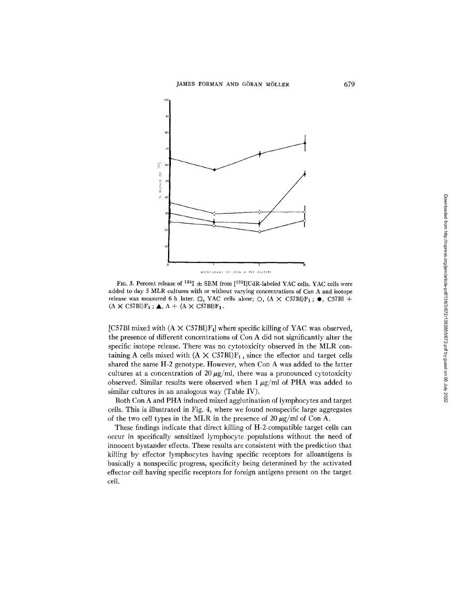

FIG. 3. Percent release of <sup>125</sup>I  $\pm$  SEM from [<sup>125</sup>I]UdR-labeled YAC cells. YAC cells were added to day 5 MLR cultures with or without varying concentrations of Con A and isotope release was measured 6 h later.  $\Box$ , YAC cells alone;  $\bigcirc$ ,  $(A \times C57B)F_1$ ;  $\bullet$ , C57B1 +  $(A \times C57B1)F_1$ ;  $\triangle$ ,  $A + (A \times C57B1)F_1$ .

[C57B] mixed with  $(A \times C57B)F_1$ ] where specific killing of YAC was observed, the presence of different concentrations of Con A did not significantly alter the specific isotope release. There was no cytotoxicity observed in the MLR containing A cells mixed with  $(A \times C57B)F_1$ , since the effector and target cells shared the same H-2 genotype. However, when Con A was added to the latter cultures at a concentration of 20  $\mu$ g/ml, there was a pronounced cytotoxicity observed. Similar results were observed when  $1 \mu g/ml$  of PHA was added to similar cultures in an analogous way (Table IV).

Both Con A and PHA induced mixed agglutination of lymphocytes and target cells. This is illustrated in Fig. 4, where we found nonspecific large aggregates of the two cell types in the MLR in the presence of 20  $\mu$ g/ml of Con A.

These findings indicate that direct killing of H-2-compatible target cells can occur in specifically sensitized lymphocyte populations without the need of innocent bystander effects. These results are consistent with the prediction that killing by effector lymphocytes having specific receptors for alloantigens is basically a nonspecific progress, specificity being determined by the activated effector cell having specific receptors for foreign antigens present on the target cell.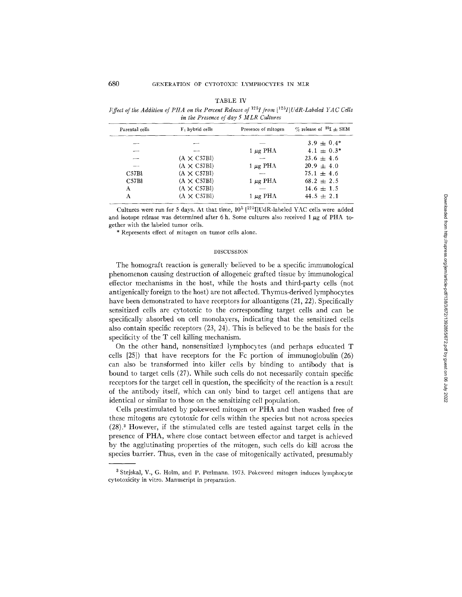|  |  | r | ۹ |  |
|--|--|---|---|--|
|--|--|---|---|--|

*Effect of the Addition of PHA on the Percent Release of*  $125I$  *from*  $[125I]$ *UdR-Labeled YAC Cells in the Presence of day 5 MLR C~dtures* 

| Parental cells | $F_1$ hybrid cells | Presence of mitogen | $\%$ release of <sup>25</sup> I $\pm$ SEM |
|----------------|--------------------|---------------------|-------------------------------------------|
|                | --                 |                     | $3.9 + 0.4*$                              |
|                |                    | $1 \mu$ g PHA       | $4.1 \pm 0.3^*$                           |
|                | $(A \times C57B1)$ |                     | $23.6 \pm 4.6$                            |
|                | $(A \times C57B1)$ | $1 \mu$ g PHA       | $20.9 \pm 4.0$                            |
| C57Bl          | $(A \times C57B1)$ |                     | $75.1 \pm 4.6$                            |
| C57B1          | $(A \times C57B1)$ | $1 \mu g$ PHA       | $68.2 \pm 2.5$                            |
| A              | $(A \times C57B)$  |                     | $14.6 \pm 1.5$                            |
| А              | $(A \times C57B1)$ | $1 \mu$ g PHA       | $44.5 \pm 2.1$                            |

Cultures were run for 5 days. At that time,  $10^5$   $[125]$ IUdR-labeled YAC cells were added and isotope release was determined after 6 h. Some cultures also received 1  $\mu$ g of PHA together with the labeled tumor cells.

\* Represents effect of mitogen on tumor cells alone.

# DISCUSSION

The homograft reaction is generally believed to be a specific immunological phenomenon causing destruction of allogeneic grafted tissue by immunological effector mechanisms in the host, while the hosts and third-party cells (not antigenically foreign to the host) are not affected. Thymus-derived lymphocytes have been demonstrated to have receptors for alloantigens (21, 22). Specifically sensitized cells are cytotoxic to the corresponding target cells and can be specifically absorbed on cell monolayers, indicating that the sensitized cells also contain specific receptors (23, 24). This is believed to be the basis for the specificity of the T cell killing mechanism.

On the other hand, nonsensitized lymphocytes (and perhaps educated T ceils [25]) that have receptors for the Fc portion of immunoglobulin (26) can also be transformed into killer cells by binding to antibody that is bound to target cells (27). While such cells do not necessarily contain specific receptors for the target cell in question, the specificity of the reaction is a result of the antibody itself, which can only bind to target cell antigens that are identical or similar to those on the sensitizing cell population.

Cells prestimulated by pokeweed mitogen or PHA and then washed free of these mitogens are cytotoxic for cells within the species but not across species (28). 3 However, if the stimulated cells are tested against target cells in the presence of PHA, where close contact between effector and target is achieved by the agglutinating properties of the mitogen, such cells do kill across the species barrier. Thus, even in the case of mitogenically activated, presumably

<sup>3</sup> Stejskal, V., G. Holm, and P. Perlmann. 1973. Pokeweed mitogen induces lymphocyte cytotoxicity in vitro. Manuscript in preparation.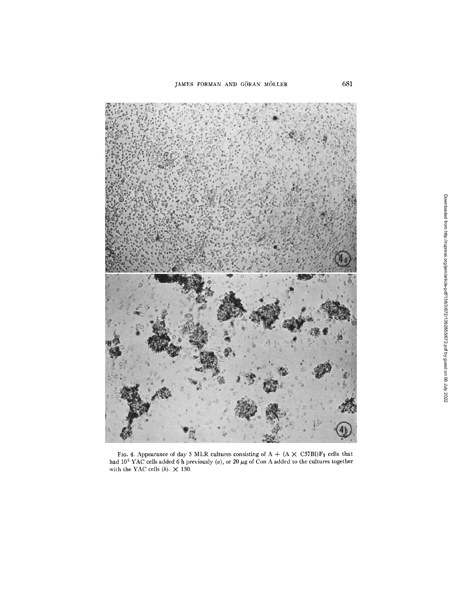

FIG. 4. Appearance of day 5 MLR cultures consisting of  $A + (A \times C57B)F_1$  cells that had 10<sup>5</sup> YAC cells added 6 h previously (a), or 20  $\mu$ g of Con A added to the cultures together with the YAC cells  $(b)$ .  $\times$  150.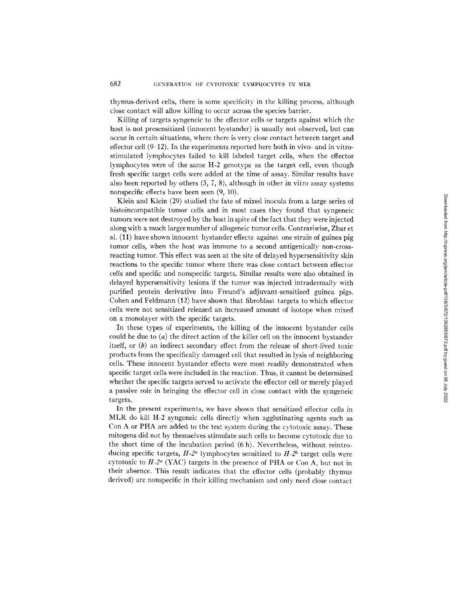thymus-derived cells, there is some specificity in the killing process, although close contact will allow killing to occur across the species barrier.

Killing of targets syngeneic to the effector cells or targets against which the host is not presensitized (innocent bystander) is usually not observed, but can occur in certain situations, where there is very close contact between target and effector cell  $(9-12)$ . In the experiments reported here both in vivo- and in vitrostimulated lymphocytes failed to kill labeled target cells, when the effector lymphocytes were of the same H-2 genotype as the target cell, even though fresh specific target ceils were added at the time of assay. Similar results have also been reported by others (5, 7, 8), although in other in vitro assay systems nonspecific effects have been seen (9, 10).

Klein and Klein (29) studied the fate of mixed inocula from a large series of histoincompatible tumor cells and in most cases they found that syngeneic tumors were not destroyed by' the host in spite of the fact that they were injected along with a much larger number of allogeneic tumor cells. Contrariwise, Zbar et al. (I1) have shown innocent bystander effects against one strain of guinea pig tumor cells, when the host was immune to a second antigenically non-crossreacting tumor. This effect was seen at the site of delayed hypersensitivity skin reactions to the specific tumor where there was close contact between effector cells and specific and nonspecific targets. Similar results were also obtained in delayed hypersensitivity lesions if the tumor was injected intradermally with purified protein derivative into Freund's adjuvant-sensitized guinea pigs. Cohen and Feldmann (12) have shown that fibroblast targets to which effector cells were not sensitized released an increased amount of isotope when mixed on a monolayer with the specifc targets.

In these types of experiments, the killing of the innocent bystander cells could be due to  $(a)$  the direct action of the killer cell on the innocent bystander itself, or (b) an indirect secondary effect from the release of short-lived toxic products from the specifically damaged cell that resulted in lysis of neighboring cells. These innocent bystander effects were most readily demonstrated when specific target cells were included in the reaction. Thus, it cannot be determined whether the specific targets served to activate the effector cell or merely played a passive role in bringing the effector cell in close contact with the syngeneic targets.

In the present experiments, we have shown that sensitized effector cells in MLR do kill H-2 syngeneic cells directly when agglutinating agents such as Con A or PHA are added to the test system during the cytotoxic assay. These mitogens did not by themselves stimulate such cells to becorne cytotoxic due to the short time of the incubation period (6 h). Nevertheless, without reintroducing specific targets,  $H_2^2$  lymphocytes sensitized to  $H_2^2$  target cells were cytotoxic to  $H-2^{\alpha}$  (YAC) targets in the presence of PHA or Con A, but not in their absence. This result indicates that the effector cells (probably thymus derived) are nonspecific in their killing mechanism and only need close contact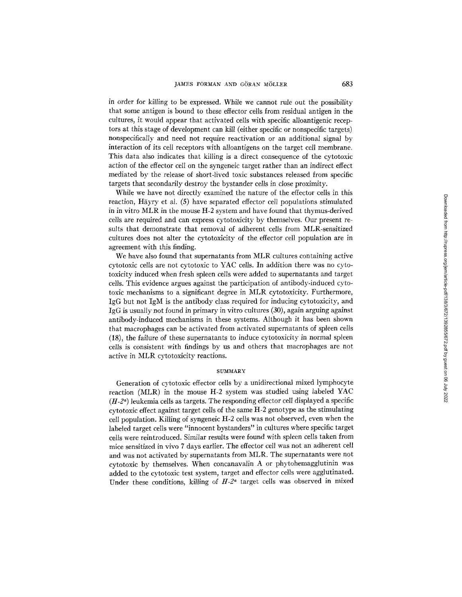in order for killing to be expressed. While we cannot rule out the possibility that some antigen is bound to these effector cells from residual antigen in the cultures, it would appear that activated cells with specific alloantigenic receptors at this stage of development can kill (either specific or nonspecific targets) nonspecifically and need not require reactivation or an additional signal by interaction of its cell receptors with alloantigens on the target cell membrane. This data also indicates that killing is a direct consequence of the cytotoxic action of the effector cell on the syngeneic target rather than an indirect effect mediated by the release of short-lived toxic substances released from specific targets that secondarily destroy the bystander cells in close proximity.

While we have not directly examined the nature of the effector cells in this reaction, Häyry et al.  $(5)$  have separated effector cell populations stimulated in in vitro MLR in the mouse H-2 system and have found that thymus-derived cells are required and can express cytotoxicity by themselves. Our present resuits that demonstrate that removal of adherent cells from MLR-sensitized cultures does not alter the cytotoxicity of the effector cell population are in agreement with this finding.

We have also found that supernatants from MLR cultures containing active cytotoxic cells are not cytotoxic to YAC ceils. In addition there was no cytotoxicity induced when fresh spleen cells were added to supernatants and target cells. This evidence argues against the participation of antibody-induced cytotoxic mechanisms to a significant degree in MLR cytotoxicity. Furthermore, IgG but not IgM is the antibody class required for inducing cytotoxicity, and IgG is usually not found in primary in vitro cultures (30), again arguing against antibody-induced mechanisms in these systems. Although it has been shown that macrophages can be activated from activated supernatants of spleen cells (18), the failure of these supernatants to induce cytotoxicity in normal spleen ceils is consistent, with findings by us and others that macrophages are not active in MLR cytotoxicity reactions.

#### **SUMMARY**

Generation of cytotoxic effector cells by a unidirectional mixed lymphocyte reaction (MLR) in the mouse H-2 system was studied using labeled YAC  $(H-2<sup>a</sup>)$  leukemia cells as targets. The responding effector cell displayed a specific cytotoxic effect against target cells of the same H-2 genotype as the stimulating cell population. Killing of syngeneic H-2 cells was not observed, even when the labeled target cells were "innocent bystanders" in cultures where specific target cells were reintroduced. Similar results were found with spleen cells taken from mice sensitized in vivo 7 days earlier. The effeetor cell was not an adherent cell and was not activated by supernatants from MLR. The supematants were not cytotoxic by themselves. When concanavalin A or phytohemagglutinin was added to the cytotoxic test system, target and effector cells were agglutinated. Under these conditions, killing of  $H-2^a$  target cells was observed in mixed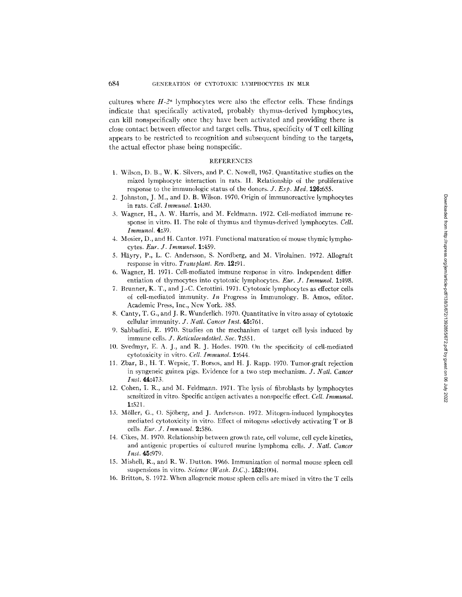cultures where  $H-2^a$  lymphocytes were also the effector cells. These findings indicate that specifcally activated, probably thymus-derived ly'mphocytes, can kill nonspecifically once they have been activated and providing there is close contact between effector and target cells. Thus, specificity of T cell killing appears to be restricted to recognition and subsequent binding to the targets, the actual effector phase being nonspecific.

#### REFERENCES

- 1. Wilson, D. B., W. K. Silvers, and P. C. Nowell, 1967. Quantitative studies on the mixed lymphocyte interaction in rats. II. Relationship of the proliferative response to the immunologic status of the donors. *J. Exp. Med.* 126:655.
- 2. Johnston, J. M., and D. B. Wilson. 1970. Origin of immunoreactive lymphocytes in rats. *Cell. lmmunol.* 1:430.
- 3. Wagner, H., A. W. Harris, and M. Feldmann. 1972. Cell-mediated immune response in vitro. I1. The role of thymus and thymus-derived lymphocytes. *Cell. Immunol.* 4:39.
- 4. Mosier, D., and H. Cantor. 1971. Functional maturation of mouse thymic lymphocytes. *Eur. J. Immunol.* 1:489.
- 5. Häyry, P., L. C. Andersson, S. Nordberg, and M. Virolainen. 1972. Allograft response in vitro. *Transplant. Rev.* 12:91.
- 6. Wagner, H. 1971. Cell-mediated immune response in vitro. Independent differentiation of thymocytes into cytotoxic lymphocytes. *Eur. J. Immunol.* 1:498.
- 7. Brunner, K. T., and J.-C. Cerottini. 1971. Cytotoxic lymphocytes as effector cells of cell-mediated immunity. *In* Progress in Immunology. B. Amos, editor. Academic Press, lnc., New York. 385.
- 8. Canty, T. G., and J. R. Wunderlich. 1970. Quantitative in vitro assay of cytotoxic cellular immunity. *J. Natl. Cancer Inst.* 45:761.
- 9. Sabbadini, E. 1970. Studies on the mechanism of target cell lysis induced by immune cells. *J. Reticuloendothel. Soc.* 7:551.
- 10. Svedmyr, E. A. J., and R. J. Hodes. 1970. On the specificity of cell-mediated cytotoxicity in vitro. *Cell. lmrnunol.* 1:644.
- 11. Zbar, B., H. T. Wepsic, T. Borsos, and H. J. Rapp. 1970. Tumor-graft rejection in syngeneic guinea pigs. Evidence for a two step mechanism. *J. Natl. Cancer Inst.* 44:473.
- 12. Cohen, I. R., and M. Feldmann. 1971. The lysis of fibroblasts by lymphocytes sensitized in vitro. Specific antigen activates a nonspecific effect. *Cell. [mmunol.*  1:521.
- 13. Möller, G., O. Sjöberg, and J. Andersson. 1972. Mitogen-induced lymphocytes mediated cytotoxicity in vitro. Effect of mitogens selectively activating T or B ceils. *Eur. J. Immunol.* 9.:586.
- 14. Cikes, M. 1970. Relationship between growth rate, cell volume, cell cycle kinetics, and antigenic properties of cultured murine lymphoma cells. *J. Natl. Cancer Inst.* 45:979.
- 15. Mishell, R., and R. W. I)utton. 1966. Immunization of normal mouse spleen cell suspensions in vitro. *Science* (Wash. D.C.). **153:**1004.
- 16. Britton, S. 1972. When allogcneic mouse spleen cells are mixed in vitro the T cells